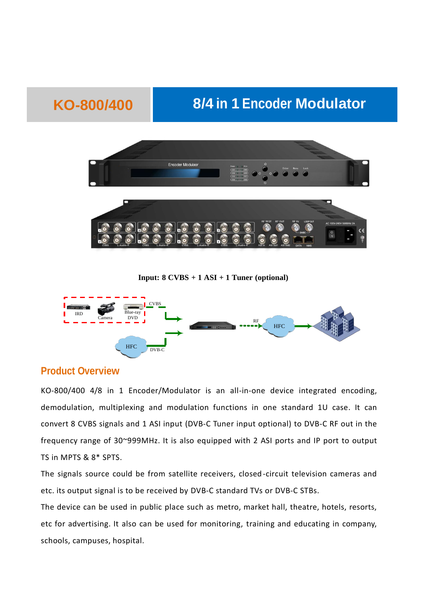# **KO-800/400 8/4 in 1 Encoder Modulator**



**Input: 8 CVBS + 1 ASI + 1 Tuner (optional)**



#### **Product Overview**

KO-800/400 4/8 in 1 Encoder/Modulator is an all-in-one device integrated encoding, demodulation, multiplexing and modulation functions in one standard 1U case. It can convert 8 CVBS signals and 1 ASI input (DVB-C Tuner input optional) to DVB-C RF out in the frequency range of 30~999MHz. It is also equipped with 2 ASI ports and IP port to output TS in MPTS & 8\* SPTS.

The signals source could be from satellite receivers, closed -circuit television cameras and etc. its output signal is to be received by DVB-C standard TVs or DVB-C STBs.

The device can be used in public place such as metro, market hall, theatre, hotels, resorts, etc for advertising. It also can be used for monitoring, training and educating in company, schools, campuses, hospital.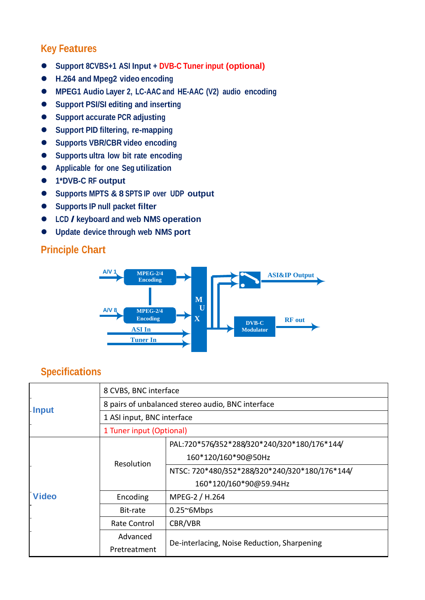## **Key Features**

- **Support 8CVBS+1 ASI Input + DVB-C Tuner input (optional)**
- **H.264 and Mpeg2 video encoding**
- **MPEG1 Audio Layer 2, LC-AAC and HE-AAC (V2) audio encoding**
- **Support PSI/SI editing and inserting**
- **Support accurate PCR adjusting**
- **Support PID filtering, re-mapping**
- **Supports VBR/CBR video encoding**
- **Supports ultra low bit rate encoding**
- **Applicable for one Seg utilization**
- **1\*DVB-C RF output**
- **Supports MPTS & 8 SPTS IP over UDP output**
- **Supports IP null packet filter**
- **LCD / keyboard and web NMS operation**
- **Update device through web NMS port**

## **Principle Chart**



#### **Specifications**

| - Input      | 8 CVBS, BNC interface                             |                                                |  |  |  |
|--------------|---------------------------------------------------|------------------------------------------------|--|--|--|
|              | 8 pairs of unbalanced stereo audio, BNC interface |                                                |  |  |  |
|              | 1 ASI input, BNC interface                        |                                                |  |  |  |
|              | 1 Tuner input (Optional)                          |                                                |  |  |  |
| <b>Video</b> | Resolution                                        | PAL:720*576/352*288/320*240/320*180/176*144/   |  |  |  |
|              |                                                   | 160*120/160*90@50Hz                            |  |  |  |
|              |                                                   | NTSC: 720*480/352*288/320*240/320*180/176*144/ |  |  |  |
|              |                                                   | 160*120/160*90@59.94Hz                         |  |  |  |
|              | Encoding                                          | MPEG-2 / H.264                                 |  |  |  |
|              | Bit-rate                                          | $0.25^{\circ}6Mbps$                            |  |  |  |
|              | Rate Control                                      | CBR/VBR                                        |  |  |  |
|              | Advanced                                          |                                                |  |  |  |
|              | Pretreatment                                      | De-interlacing, Noise Reduction, Sharpening    |  |  |  |